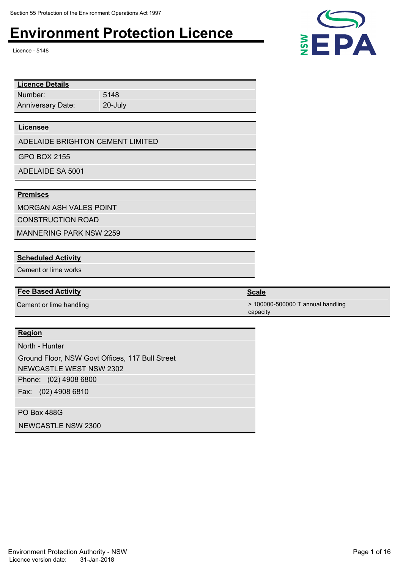Licence - 5148

| <b>Licence Details</b>   |         |
|--------------------------|---------|
| Number:                  | 5148    |
| <b>Anniversary Date:</b> | 20-July |
|                          |         |

#### **Licensee**

ADELAIDE BRIGHTON CEMENT LIMITED

GPO BOX 2155

ADELAIDE SA 5001

### **Premises**

MORGAN ASH VALES POINT

CONSTRUCTION ROAD

MANNERING PARK NSW 2259

#### **Scheduled Activity**

Cement or lime works

#### **Fee Based Activity Scale Scale Scale Scale**

### **Region**

Phone: (02) 4908 6800 Fax: (02) 4908 6810 North - Hunter Ground Floor, NSW Govt Offices, 117 Bull Street NEWCASTLE WEST NSW 2302

PO Box 488G

NEWCASTLE NSW 2300



Cement or lime handling  $\sim$  100000-500000 T annual handling capacity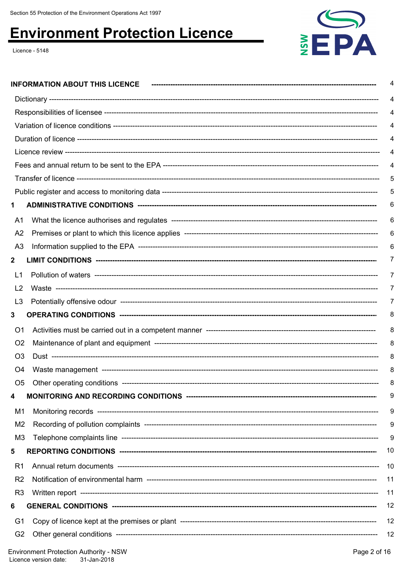Licence - 5148



|                | <b>INFORMATION ABOUT THIS LICENCE</b> | 4        |  |  |
|----------------|---------------------------------------|----------|--|--|
|                |                                       | 4        |  |  |
| 4              |                                       |          |  |  |
|                |                                       |          |  |  |
|                |                                       |          |  |  |
|                |                                       | 4        |  |  |
|                |                                       | 4        |  |  |
|                |                                       | 5        |  |  |
|                |                                       | 5        |  |  |
|                |                                       | 6        |  |  |
| A1             |                                       | 6        |  |  |
| A <sub>2</sub> | 6                                     |          |  |  |
| A <sub>3</sub> |                                       | 6        |  |  |
| 2              |                                       | $\prime$ |  |  |
| L <sub>1</sub> |                                       | 7        |  |  |
| L <sub>2</sub> |                                       | 7        |  |  |
| L <sub>3</sub> |                                       | $\prime$ |  |  |
| 3              |                                       | 8        |  |  |
| O <sub>1</sub> |                                       | 8        |  |  |
| O <sub>2</sub> |                                       | 8        |  |  |
| O <sub>3</sub> |                                       | 8        |  |  |
| O4             |                                       | 8        |  |  |
| O <sub>5</sub> |                                       | 8        |  |  |
| 4              |                                       | 9        |  |  |
| M1             |                                       | 9        |  |  |
| M2             |                                       | 9        |  |  |
| M3             |                                       | 9        |  |  |
| 5              |                                       | 10       |  |  |
| R <sub>1</sub> |                                       | 10       |  |  |
| R <sub>2</sub> |                                       | 11       |  |  |
| R <sub>3</sub> |                                       | 11       |  |  |
| 6              |                                       | 12       |  |  |
| G1             |                                       | 12       |  |  |
| G <sub>2</sub> |                                       | 12       |  |  |
|                |                                       |          |  |  |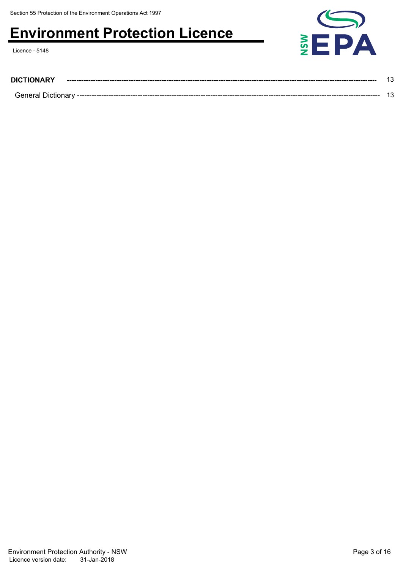Licence - 5148



| <b>DICTIONARY</b>   |  |
|---------------------|--|
| ∩ General Dictionar |  |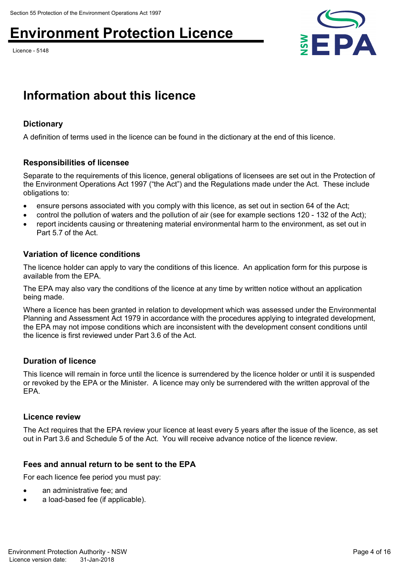Licence - 5148



## **Information about this licence**

### **Dictionary**

A definition of terms used in the licence can be found in the dictionary at the end of this licence.

### **Responsibilities of licensee**

Separate to the requirements of this licence, general obligations of licensees are set out in the Protection of the Environment Operations Act 1997 ("the Act") and the Regulations made under the Act. These include obligations to:

- ensure persons associated with you comply with this licence, as set out in section 64 of the Act;
- control the pollution of waters and the pollution of air (see for example sections 120 132 of the Act);
- report incidents causing or threatening material environmental harm to the environment, as set out in Part 5.7 of the Act.

### **Variation of licence conditions**

The licence holder can apply to vary the conditions of this licence. An application form for this purpose is available from the EPA.

The EPA may also vary the conditions of the licence at any time by written notice without an application being made.

Where a licence has been granted in relation to development which was assessed under the Environmental Planning and Assessment Act 1979 in accordance with the procedures applying to integrated development, the EPA may not impose conditions which are inconsistent with the development consent conditions until the licence is first reviewed under Part 3.6 of the Act.

### **Duration of licence**

This licence will remain in force until the licence is surrendered by the licence holder or until it is suspended or revoked by the EPA or the Minister. A licence may only be surrendered with the written approval of the EPA.

### **Licence review**

The Act requires that the EPA review your licence at least every 5 years after the issue of the licence, as set out in Part 3.6 and Schedule 5 of the Act. You will receive advance notice of the licence review.

### **Fees and annual return to be sent to the EPA**

For each licence fee period you must pay:

- an administrative fee; and
- a load-based fee (if applicable).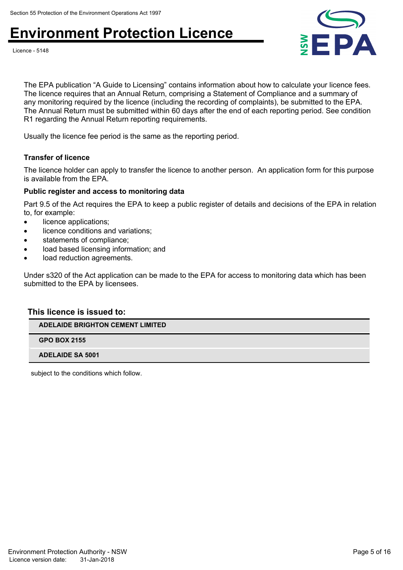



The EPA publication "A Guide to Licensing" contains information about how to calculate your licence fees. The licence requires that an Annual Return, comprising a Statement of Compliance and a summary of any monitoring required by the licence (including the recording of complaints), be submitted to the EPA. The Annual Return must be submitted within 60 days after the end of each reporting period. See condition R1 regarding the Annual Return reporting requirements.

Usually the licence fee period is the same as the reporting period.

### **Transfer of licence**

The licence holder can apply to transfer the licence to another person. An application form for this purpose is available from the EPA.

#### **Public register and access to monitoring data**

Part 9.5 of the Act requires the EPA to keep a public register of details and decisions of the EPA in relation to, for example:

- licence applications;
- licence conditions and variations;
- statements of compliance;
- load based licensing information; and
- load reduction agreements.

Under s320 of the Act application can be made to the EPA for access to monitoring data which has been submitted to the EPA by licensees.

### **This licence is issued to:**

**ADELAIDE BRIGHTON CEMENT LIMITED**

**GPO BOX 2155**

**ADELAIDE SA 5001**

subject to the conditions which follow.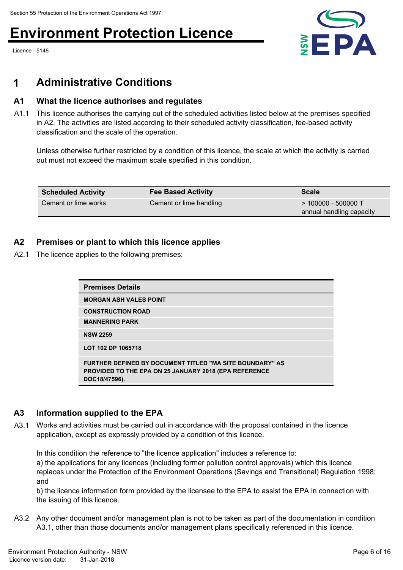Licence - 5148



### **1 Administrative Conditions**

### **A1 What the licence authorises and regulates**

A1.1 This licence authorises the carrying out of the scheduled activities listed below at the premises specified in A2. The activities are listed according to their scheduled activity classification, fee-based activity classification and the scale of the operation.

Unless otherwise further restricted by a condition of this licence, the scale at which the activity is carried out must not exceed the maximum scale specified in this condition.

| <b>Scheduled Activity</b> | <b>Fee Based Activity</b> | <b>Scale</b>                                      |
|---------------------------|---------------------------|---------------------------------------------------|
| Cement or lime works      | Cement or lime handling   | $>$ 100000 - 500000 T<br>annual handling capacity |

### **A2 Premises or plant to which this licence applies**

A2.1 The licence applies to the following premises:

| <b>Premises Details</b>                                                                                                                          |  |
|--------------------------------------------------------------------------------------------------------------------------------------------------|--|
| <b>MORGAN ASH VALES POINT</b>                                                                                                                    |  |
| <b>CONSTRUCTION ROAD</b>                                                                                                                         |  |
| <b>MANNERING PARK</b>                                                                                                                            |  |
| <b>NSW 2259</b>                                                                                                                                  |  |
| LOT 102 DP 1065718                                                                                                                               |  |
| <b>FURTHER DEFINED BY DOCUMENT TITLED "MA SITE BOUNDARY" AS</b><br><b>PROVIDED TO THE EPA ON 25 JANUARY 2018 (EPA REFERENCE</b><br>DOC18/47596). |  |

### **A3 Information supplied to the EPA**

A3.1 Works and activities must be carried out in accordance with the proposal contained in the licence application, except as expressly provided by a condition of this licence.

In this condition the reference to "the licence application" includes a reference to: a) the applications for any licences (including former pollution control approvals) which this licence replaces under the Protection of the Environment Operations (Savings and Transitional) Regulation 1998; and

b) the licence information form provided by the licensee to the EPA to assist the EPA in connection with the issuing of this licence.

A3.2 Any other document and/or management plan is not to be taken as part of the documentation in condition A3.1, other than those documents and/or management plans specifically referenced in this licence.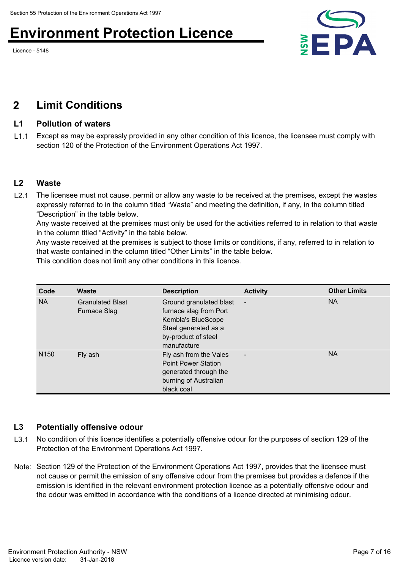Licence - 5148



### **2 Limit Conditions**

### **L1 Pollution of waters**

L1.1 Except as may be expressly provided in any other condition of this licence, the licensee must comply with section 120 of the Protection of the Environment Operations Act 1997.

### **L2 Waste**

L2.1 The licensee must not cause, permit or allow any waste to be received at the premises, except the wastes expressly referred to in the column titled "Waste" and meeting the definition, if any, in the column titled "Description" in the table below.

Any waste received at the premises must only be used for the activities referred to in relation to that waste in the column titled "Activity" in the table below.

Any waste received at the premises is subject to those limits or conditions, if any, referred to in relation to that waste contained in the column titled "Other Limits" in the table below.

This condition does not limit any other conditions in this licence.

| Code             | Waste                                          | <b>Description</b>                                                                                                                    | <b>Activity</b>          | <b>Other Limits</b> |
|------------------|------------------------------------------------|---------------------------------------------------------------------------------------------------------------------------------------|--------------------------|---------------------|
| <b>NA</b>        | <b>Granulated Blast</b><br><b>Furnace Slag</b> | Ground granulated blast<br>furnace slag from Port<br>Kembla's BlueScope<br>Steel generated as a<br>by-product of steel<br>manufacture | $\overline{\phantom{a}}$ | <b>NA</b>           |
| N <sub>150</sub> | Fly ash                                        | Fly ash from the Vales<br><b>Point Power Station</b><br>generated through the<br>burning of Australian<br>black coal                  | $\overline{\phantom{a}}$ | <b>NA</b>           |

### **L3 Potentially offensive odour**

- L3.1 No condition of this licence identifies a potentially offensive odour for the purposes of section 129 of the Protection of the Environment Operations Act 1997.
- Note: Section 129 of the Protection of the Environment Operations Act 1997, provides that the licensee must not cause or permit the emission of any offensive odour from the premises but provides a defence if the emission is identified in the relevant environment protection licence as a potentially offensive odour and the odour was emitted in accordance with the conditions of a licence directed at minimising odour.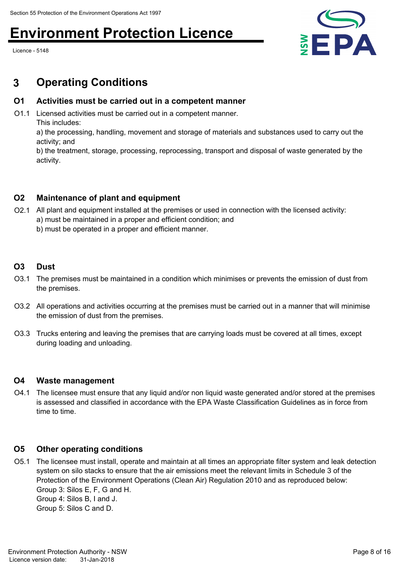Licence - 5148



### **3 Operating Conditions**

### **O1 Activities must be carried out in a competent manner**

O1.1 Licensed activities must be carried out in a competent manner. This includes:

a) the processing, handling, movement and storage of materials and substances used to carry out the activity; and

b) the treatment, storage, processing, reprocessing, transport and disposal of waste generated by the activity.

### **O2 Maintenance of plant and equipment**

- O2.1 All plant and equipment installed at the premises or used in connection with the licensed activity: a) must be maintained in a proper and efficient condition; and
	- b) must be operated in a proper and efficient manner.

### **O3 Dust**

- O3.1 The premises must be maintained in a condition which minimises or prevents the emission of dust from the premises.
- O3.2 All operations and activities occurring at the premises must be carried out in a manner that will minimise the emission of dust from the premises.
- O3.3 Trucks entering and leaving the premises that are carrying loads must be covered at all times, except during loading and unloading.

### **O4 Waste management**

O4.1 The licensee must ensure that any liquid and/or non liquid waste generated and/or stored at the premises is assessed and classified in accordance with the EPA Waste Classification Guidelines as in force from time to time.

### **O5 Other operating conditions**

O5.1 The licensee must install, operate and maintain at all times an appropriate filter system and leak detection system on silo stacks to ensure that the air emissions meet the relevant limits in Schedule 3 of the Protection of the Environment Operations (Clean Air) Regulation 2010 and as reproduced below: Group 3: Silos E, F, G and H. Group 4: Silos B, I and J. Group 5: Silos C and D.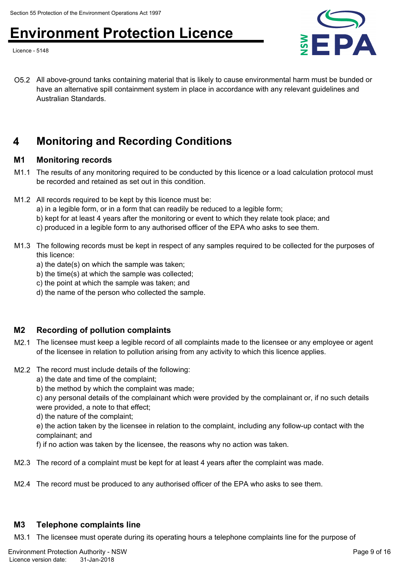Licence - 5148



O5.2 All above-ground tanks containing material that is likely to cause environmental harm must be bunded or have an alternative spill containment system in place in accordance with any relevant guidelines and Australian Standards.

### **4 Monitoring and Recording Conditions**

### **M1 Monitoring records**

- M1.1 The results of any monitoring required to be conducted by this licence or a load calculation protocol must be recorded and retained as set out in this condition.
- M1.2 All records required to be kept by this licence must be:
	- a) in a legible form, or in a form that can readily be reduced to a legible form;
	- b) kept for at least 4 years after the monitoring or event to which they relate took place; and
	- c) produced in a legible form to any authorised officer of the EPA who asks to see them.
- M1.3 The following records must be kept in respect of any samples required to be collected for the purposes of this licence:
	- a) the date(s) on which the sample was taken;
	- b) the time(s) at which the sample was collected;
	- c) the point at which the sample was taken; and
	- d) the name of the person who collected the sample.

### **M2 Recording of pollution complaints**

- M2.1 The licensee must keep a legible record of all complaints made to the licensee or any employee or agent of the licensee in relation to pollution arising from any activity to which this licence applies.
- M2.2 The record must include details of the following:
	- a) the date and time of the complaint;
	- b) the method by which the complaint was made;

c) any personal details of the complainant which were provided by the complainant or, if no such details were provided, a note to that effect;

d) the nature of the complaint;

e) the action taken by the licensee in relation to the complaint, including any follow-up contact with the complainant; and

f) if no action was taken by the licensee, the reasons why no action was taken.

- M2.3 The record of a complaint must be kept for at least 4 years after the complaint was made.
- M2.4 The record must be produced to any authorised officer of the EPA who asks to see them.

### **M3 Telephone complaints line**

M3.1 The licensee must operate during its operating hours a telephone complaints line for the purpose of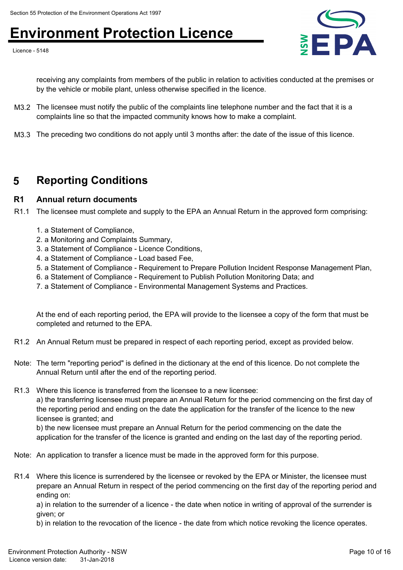Licence - 5148



receiving any complaints from members of the public in relation to activities conducted at the premises or by the vehicle or mobile plant, unless otherwise specified in the licence.

- M3.2 The licensee must notify the public of the complaints line telephone number and the fact that it is a complaints line so that the impacted community knows how to make a complaint.
- M3.3 The preceding two conditions do not apply until 3 months after: the date of the issue of this licence.

### **5 Reporting Conditions**

### **R1 Annual return documents**

R1.1 The licensee must complete and supply to the EPA an Annual Return in the approved form comprising:

- 1. a Statement of Compliance,
- 2. a Monitoring and Complaints Summary,
- 3. a Statement of Compliance Licence Conditions,
- 4. a Statement of Compliance Load based Fee,
- 5. a Statement of Compliance Requirement to Prepare Pollution Incident Response Management Plan,
- 6. a Statement of Compliance Requirement to Publish Pollution Monitoring Data; and
- 7. a Statement of Compliance Environmental Management Systems and Practices.

At the end of each reporting period, the EPA will provide to the licensee a copy of the form that must be completed and returned to the EPA.

- R1.2 An Annual Return must be prepared in respect of each reporting period, except as provided below.
- Note: The term "reporting period" is defined in the dictionary at the end of this licence. Do not complete the Annual Return until after the end of the reporting period.
- R1.3 Where this licence is transferred from the licensee to a new licensee: a) the transferring licensee must prepare an Annual Return for the period commencing on the first day of the reporting period and ending on the date the application for the transfer of the licence to the new licensee is granted; and

b) the new licensee must prepare an Annual Return for the period commencing on the date the application for the transfer of the licence is granted and ending on the last day of the reporting period.

- Note: An application to transfer a licence must be made in the approved form for this purpose.
- R1.4 Where this licence is surrendered by the licensee or revoked by the EPA or Minister, the licensee must prepare an Annual Return in respect of the period commencing on the first day of the reporting period and ending on:

a) in relation to the surrender of a licence - the date when notice in writing of approval of the surrender is given; or

b) in relation to the revocation of the licence - the date from which notice revoking the licence operates.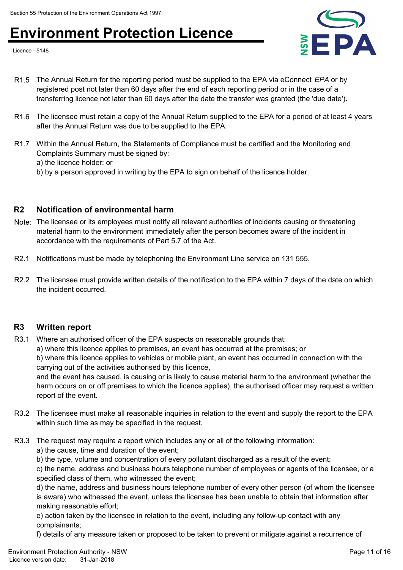Licence - 5148



- R1.5 The Annual Return for the reporting period must be supplied to the EPA via eConnect *EPA* or by registered post not later than 60 days after the end of each reporting period or in the case of a transferring licence not later than 60 days after the date the transfer was granted (the 'due date').
- R1.6 The licensee must retain a copy of the Annual Return supplied to the EPA for a period of at least 4 years after the Annual Return was due to be supplied to the EPA.
- R1.7 Within the Annual Return, the Statements of Compliance must be certified and the Monitoring and Complaints Summary must be signed by: a) the licence holder; or
	- b) by a person approved in writing by the EPA to sign on behalf of the licence holder.

### **R2 Notification of environmental harm**

- Note: The licensee or its employees must notify all relevant authorities of incidents causing or threatening material harm to the environment immediately after the person becomes aware of the incident in accordance with the requirements of Part 5.7 of the Act.
- R2.1 Notifications must be made by telephoning the Environment Line service on 131 555.

R3.1 Where an authorised officer of the EPA suspects on reasonable grounds that:

R2.2 The licensee must provide written details of the notification to the EPA within 7 days of the date on which the incident occurred.

### **R3 Written report**

a) where this licence applies to premises, an event has occurred at the premises; or b) where this licence applies to vehicles or mobile plant, an event has occurred in connection with the carrying out of the activities authorised by this licence,

and the event has caused, is causing or is likely to cause material harm to the environment (whether the harm occurs on or off premises to which the licence applies), the authorised officer may request a written report of the event.

- R3.2 The licensee must make all reasonable inquiries in relation to the event and supply the report to the EPA within such time as may be specified in the request.
- R3.3 The request may require a report which includes any or all of the following information:
	- a) the cause, time and duration of the event;

b) the type, volume and concentration of every pollutant discharged as a result of the event;

c) the name, address and business hours telephone number of employees or agents of the licensee, or a specified class of them, who witnessed the event;

d) the name, address and business hours telephone number of every other person (of whom the licensee is aware) who witnessed the event, unless the licensee has been unable to obtain that information after making reasonable effort;

e) action taken by the licensee in relation to the event, including any follow-up contact with any complainants;

f) details of any measure taken or proposed to be taken to prevent or mitigate against a recurrence of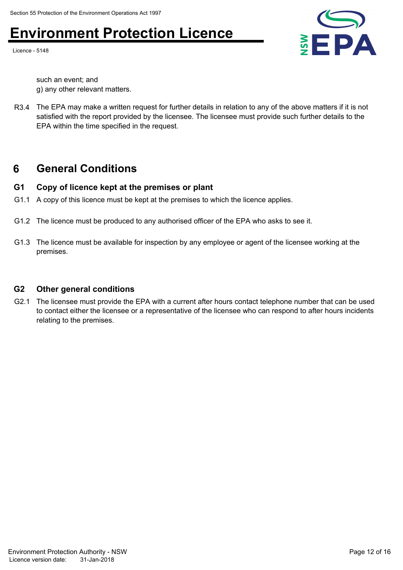Licence - 5148



such an event; and g) any other relevant matters.

R3.4 The EPA may make a written request for further details in relation to any of the above matters if it is not satisfied with the report provided by the licensee. The licensee must provide such further details to the EPA within the time specified in the request.

### **6 General Conditions**

### **G1 Copy of licence kept at the premises or plant**

- G1.1 A copy of this licence must be kept at the premises to which the licence applies.
- G1.2 The licence must be produced to any authorised officer of the EPA who asks to see it.
- G1.3 The licence must be available for inspection by any employee or agent of the licensee working at the premises.

### **G2 Other general conditions**

G2.1 The licensee must provide the EPA with a current after hours contact telephone number that can be used to contact either the licensee or a representative of the licensee who can respond to after hours incidents relating to the premises.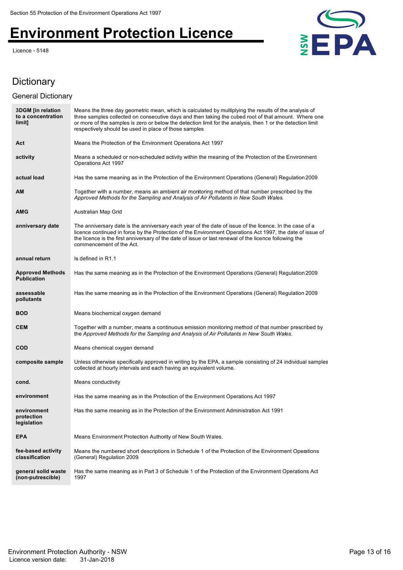Licence - 5148



### Dictionary

### General Dictionary

| <b>3DGM</b> [in relation<br>to a concentration<br>limit] | Means the three day geometric mean, which is calculated by multiplying the results of the analysis of<br>three samples collected on consecutive days and then taking the cubed root of that amount. Where one<br>or more of the samples is zero or below the detection limit for the analysis, then 1 or the detection limit<br>respectively should be used in place of those samples |
|----------------------------------------------------------|---------------------------------------------------------------------------------------------------------------------------------------------------------------------------------------------------------------------------------------------------------------------------------------------------------------------------------------------------------------------------------------|
| Act                                                      | Means the Protection of the Environment Operations Act 1997                                                                                                                                                                                                                                                                                                                           |
| activity                                                 | Means a scheduled or non-scheduled activity within the meaning of the Protection of the Environment<br>Operations Act 1997                                                                                                                                                                                                                                                            |
| actual load                                              | Has the same meaning as in the Protection of the Environment Operations (General) Regulation 2009                                                                                                                                                                                                                                                                                     |
| AM                                                       | Together with a number, means an ambient air monitoring method of that number prescribed by the<br>Approved Methods for the Sampling and Analysis of Air Pollutants in New South Wales.                                                                                                                                                                                               |
| AMG                                                      | Australian Map Grid                                                                                                                                                                                                                                                                                                                                                                   |
| anniversary date                                         | The anniversary date is the anniversary each year of the date of issue of the licence. In the case of a<br>licence continued in force by the Protection of the Environment Operations Act 1997, the date of issue of<br>the licence is the first anniversary of the date of issue or last renewal of the licence following the<br>commencement of the Act.                            |
| annual return                                            | Is defined in R1.1                                                                                                                                                                                                                                                                                                                                                                    |
| <b>Approved Methods</b><br><b>Publication</b>            | Has the same meaning as in the Protection of the Environment Operations (General) Regulation 2009                                                                                                                                                                                                                                                                                     |
| assessable<br>pollutants                                 | Has the same meaning as in the Protection of the Environment Operations (General) Regulation 2009                                                                                                                                                                                                                                                                                     |
| <b>BOD</b>                                               | Means biochemical oxygen demand                                                                                                                                                                                                                                                                                                                                                       |
| <b>CEM</b>                                               | Together with a number, means a continuous emission monitoring method of that number prescribed by<br>the Approved Methods for the Sampling and Analysis of Air Pollutants in New South Wales.                                                                                                                                                                                        |
| <b>COD</b>                                               | Means chemical oxygen demand                                                                                                                                                                                                                                                                                                                                                          |
| composite sample                                         | Unless otherwise specifically approved in writing by the EPA, a sample consisting of 24 individual samples<br>collected at hourly intervals and each having an equivalent volume.                                                                                                                                                                                                     |
| cond.                                                    | Means conductivity                                                                                                                                                                                                                                                                                                                                                                    |
| environment                                              | Has the same meaning as in the Protection of the Environment Operations Act 1997                                                                                                                                                                                                                                                                                                      |
| environment<br>protection<br>legislation                 | Has the same meaning as in the Protection of the Environment Administration Act 1991                                                                                                                                                                                                                                                                                                  |
| <b>EPA</b>                                               | Means Environment Protection Authority of New South Wales.                                                                                                                                                                                                                                                                                                                            |
| fee-based activity<br>classification                     | Means the numbered short descriptions in Schedule 1 of the Protection of the Environment Operations<br>(General) Regulation 2009.                                                                                                                                                                                                                                                     |
| general solid waste<br>(non-putrescible)                 | Has the same meaning as in Part 3 of Schedule 1 of the Protection of the Environment Operations Act<br>1997                                                                                                                                                                                                                                                                           |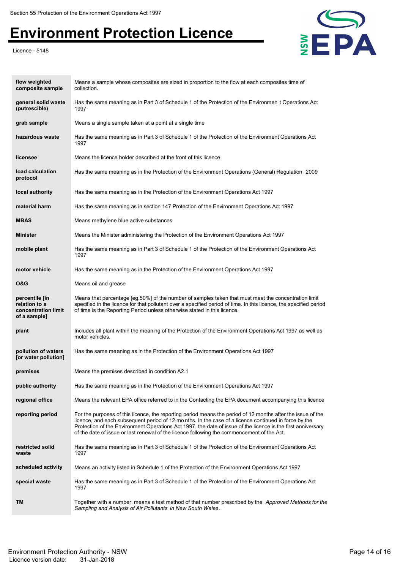Licence - 5148



| flow weighted<br>composite sample                                      | Means a sample whose composites are sized in proportion to the flow at each composites time of<br>collection.                                                                                                                                                                                                                                                                                                                     |
|------------------------------------------------------------------------|-----------------------------------------------------------------------------------------------------------------------------------------------------------------------------------------------------------------------------------------------------------------------------------------------------------------------------------------------------------------------------------------------------------------------------------|
| general solid waste<br>(putrescible)                                   | Has the same meaning as in Part 3 of Schedule 1 of the Protection of the Environmen t Operations Act<br>1997                                                                                                                                                                                                                                                                                                                      |
| grab sample                                                            | Means a single sample taken at a point at a single time                                                                                                                                                                                                                                                                                                                                                                           |
| hazardous waste                                                        | Has the same meaning as in Part 3 of Schedule 1 of the Protection of the Environment Operations Act<br>1997                                                                                                                                                                                                                                                                                                                       |
| licensee                                                               | Means the licence holder described at the front of this licence                                                                                                                                                                                                                                                                                                                                                                   |
| load calculation<br>protocol                                           | Has the same meaning as in the Protection of the Environment Operations (General) Regulation 2009                                                                                                                                                                                                                                                                                                                                 |
| local authority                                                        | Has the same meaning as in the Protection of the Environment Operations Act 1997                                                                                                                                                                                                                                                                                                                                                  |
| material harm                                                          | Has the same meaning as in section 147 Protection of the Environment Operations Act 1997                                                                                                                                                                                                                                                                                                                                          |
| <b>MBAS</b>                                                            | Means methylene blue active substances                                                                                                                                                                                                                                                                                                                                                                                            |
| <b>Minister</b>                                                        | Means the Minister administering the Protection of the Environment Operations Act 1997                                                                                                                                                                                                                                                                                                                                            |
| mobile plant                                                           | Has the same meaning as in Part 3 of Schedule 1 of the Protection of the Environment Operations Act<br>1997                                                                                                                                                                                                                                                                                                                       |
| motor vehicle                                                          | Has the same meaning as in the Protection of the Environment Operations Act 1997                                                                                                                                                                                                                                                                                                                                                  |
| <b>O&amp;G</b>                                                         | Means oil and grease                                                                                                                                                                                                                                                                                                                                                                                                              |
| percentile [in<br>relation to a<br>concentration limit<br>of a sample] | Means that percentage [eg.50%] of the number of samples taken that must meet the concentration limit<br>specified in the licence for that pollutant over a specified period of time. In this licence, the specified period<br>of time is the Reporting Period unless otherwise stated in this licence.                                                                                                                            |
| plant                                                                  | Includes all plant within the meaning of the Protection of the Environment Operations Act 1997 as well as<br>motor vehicles.                                                                                                                                                                                                                                                                                                      |
| pollution of waters<br>[or water pollution]                            | Has the same meaning as in the Protection of the Environment Operations Act 1997                                                                                                                                                                                                                                                                                                                                                  |
| premises                                                               | Means the premises described in condition A2.1                                                                                                                                                                                                                                                                                                                                                                                    |
| public authority                                                       | Has the same meaning as in the Protection of the Environment Operations Act 1997                                                                                                                                                                                                                                                                                                                                                  |
| regional office                                                        | Means the relevant EPA office referred to in the Contacting the EPA document accompanying this licence                                                                                                                                                                                                                                                                                                                            |
| reporting period                                                       | For the purposes of this licence, the reporting period means the period of 12 months after the issue of the<br>licence, and each subsequent period of 12 months. In the case of a licence continued in force by the<br>Protection of the Environment Operations Act 1997, the date of issue of the licence is the first anniversary<br>of the date of issue or last renewal of the licence following the commencement of the Act. |
| restricted solid<br>waste                                              | Has the same meaning as in Part 3 of Schedule 1 of the Protection of the Environment Operations Act<br>1997                                                                                                                                                                                                                                                                                                                       |
| scheduled activity                                                     | Means an activity listed in Schedule 1 of the Protection of the Environment Operations Act 1997                                                                                                                                                                                                                                                                                                                                   |
| special waste                                                          | Has the same meaning as in Part 3 of Schedule 1 of the Protection of the Environment Operations Act<br>1997                                                                                                                                                                                                                                                                                                                       |
| TM                                                                     | Together with a number, means a test method of that number prescribed by the Approved Methods for the<br>Sampling and Analysis of Air Pollutants in New South Wales.                                                                                                                                                                                                                                                              |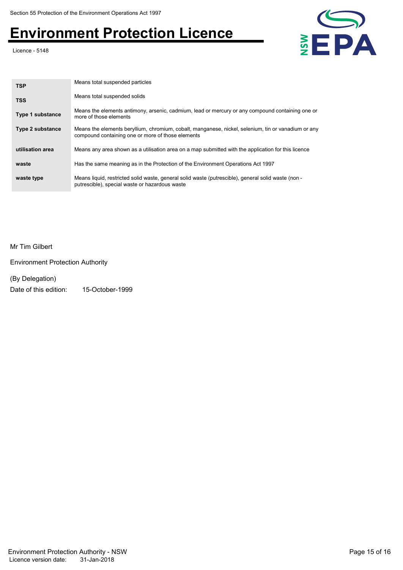Licence - 5148



| <b>TSP</b>              | Means total suspended particles                                                                                                                          |
|-------------------------|----------------------------------------------------------------------------------------------------------------------------------------------------------|
| <b>TSS</b>              | Means total suspended solids                                                                                                                             |
| <b>Type 1 substance</b> | Means the elements antimony, arsenic, cadmium, lead or mercury or any compound containing one or<br>more of those elements                               |
| Type 2 substance        | Means the elements beryllium, chromium, cobalt, manganese, nickel, selenium, tin or vanadium or any<br>compound containing one or more of those elements |
| utilisation area        | Means any area shown as a utilisation area on a map submitted with the application for this licence                                                      |
| waste                   | Has the same meaning as in the Protection of the Environment Operations Act 1997                                                                         |
| waste type              | Means liquid, restricted solid waste, general solid waste (putrescible), general solid waste (non -<br>putrescible), special waste or hazardous waste    |

Mr Tim Gilbert

Environment Protection Authority

(By Delegation)

Date of this edition: 15-October-1999